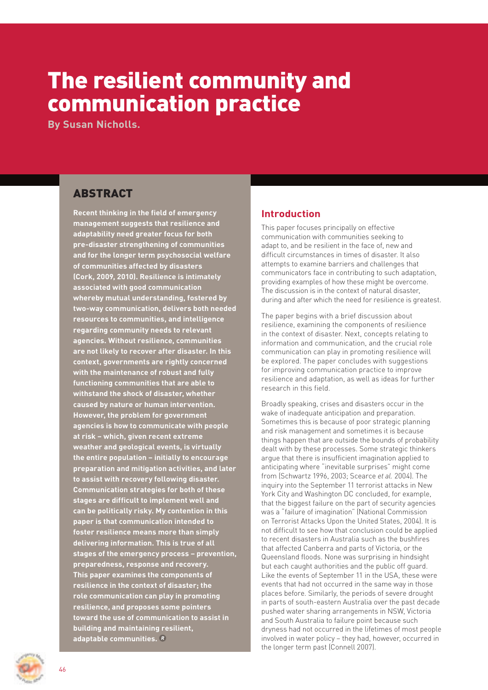# The resilient community and communication practice

**By Susan Nicholls.**

# ABSTRACT

**Recent thinking in the field of emergency management suggests that resilience and adaptability need greater focus for both pre-disaster strengthening of communities and for the longer term psychosocial welfare of communities affected by disasters (Cork, 2009, 2010). Resilience is intimately associated with good communication whereby mutual understanding, fostered by two-way communication, delivers both needed resources to communities, and intelligence regarding community needs to relevant agencies. Without resilience, communities are not likely to recover after disaster. In this context, governments are rightly concerned with the maintenance of robust and fully functioning communities that are able to withstand the shock of disaster, whether caused by nature or human intervention. However, the problem for government agencies is how to communicate with people at risk – which, given recent extreme weather and geological events, is virtually the entire population – initially to encourage preparation and mitigation activities, and later to assist with recovery following disaster. Communication strategies for both of these stages are difficult to implement well and can be politically risky. My contention in this paper is that communication intended to foster resilience means more than simply delivering information. This is true of all stages of the emergency process – prevention, preparedness, response and recovery. This paper examines the components of resilience in the context of disaster; the role communication can play in promoting resilience, and proposes some pointers toward the use of communication to assist in building and maintaining resilient, adaptable communities.** 

# **Introduction**

This paper focuses principally on effective communication with communities seeking to adapt to, and be resilient in the face of, new and difficult circumstances in times of disaster. It also attempts to examine barriers and challenges that communicators face in contributing to such adaptation, providing examples of how these might be overcome. The discussion is in the context of natural disaster, during and after which the need for resilience is greatest.

The paper begins with a brief discussion about resilience, examining the components of resilience in the context of disaster. Next, concepts relating to information and communication, and the crucial role communication can play in promoting resilience will be explored. The paper concludes with suggestions for improving communication practice to improve resilience and adaptation, as well as ideas for further research in this field.

Broadly speaking, crises and disasters occur in the wake of inadequate anticipation and preparation. Sometimes this is because of poor strategic planning and risk management and sometimes it is because things happen that are outside the bounds of probability dealt with by these processes. Some strategic thinkers argue that there is insufficient imagination applied to anticipating where "inevitable surprises" might come from (Schwartz 1996, 2003; Scearce *et al.* 2004). The inquiry into the September 11 terrorist attacks in New York City and Washington DC concluded, for example, that the biggest failure on the part of security agencies was a "failure of imagination" (National Commission on Terrorist Attacks Upon the United States, 2004). It is not difficult to see how that conclusion could be applied to recent disasters in Australia such as the bushfires that affected Canberra and parts of Victoria, or the Queensland floods. None was surprising in hindsight but each caught authorities and the public off guard. Like the events of September 11 in the USA, these were events that had not occurred in the same way in those places before. Similarly, the periods of severe drought in parts of south-eastern Australia over the past decade pushed water sharing arrangements in NSW, Victoria and South Australia to failure point because such dryness had not occurred in the lifetimes of most people involved in water policy – they had, however, occurred in the longer term past (Connell 2007).

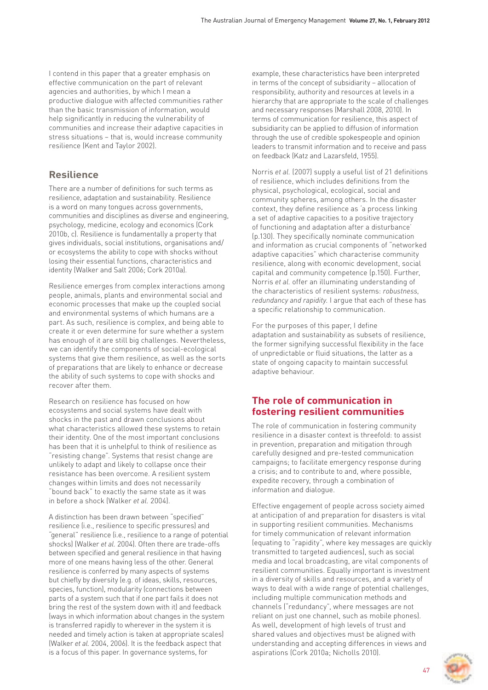I contend in this paper that a greater emphasis on effective communication on the part of relevant agencies and authorities, by which I mean a productive dialogue with affected communities rather than the basic transmission of information, would help significantly in reducing the vulnerability of communities and increase their adaptive capacities in stress situations – that is, would increase community resilience (Kent and Taylor 2002).

### **Resilience**

There are a number of definitions for such terms as resilience, adaptation and sustainability. Resilience is a word on many tongues across governments, communities and disciplines as diverse and engineering, psychology, medicine, ecology and economics (Cork 2010b, c). Resilience is fundamentally a property that gives individuals, social institutions, organisations and/ or ecosystems the ability to cope with shocks without losing their essential functions, characteristics and identity (Walker and Salt 2006; Cork 2010a).

Resilience emerges from complex interactions among people, animals, plants and environmental social and economic processes that make up the coupled social and environmental systems of which humans are a part. As such, resilience is complex, and being able to create it or even determine for sure whether a system has enough of it are still big challenges. Nevertheless, we can identify the components of social-ecological systems that give them resilience, as well as the sorts of preparations that are likely to enhance or decrease the ability of such systems to cope with shocks and recover after them.

Research on resilience has focused on how ecosystems and social systems have dealt with shocks in the past and drawn conclusions about what characteristics allowed these systems to retain their identity. One of the most important conclusions has been that it is unhelpful to think of resilience as "resisting change". Systems that resist change are unlikely to adapt and likely to collapse once their resistance has been overcome. A resilient system changes within limits and does not necessarily "bound back" to exactly the same state as it was in before a shock (Walker *et al.* 2004).

A distinction has been drawn between "specified" resilience (i.e., resilience to specific pressures) and "general" resilience (i.e., resilience to a range of potential shocks) (Walker *et al.* 2004). Often there are trade-offs between specified and general resilience in that having more of one means having less of the other. General resilience is conferred by many aspects of systems but chiefly by diversity (e.g. of ideas, skills, resources, species, function), modularity (connections between parts of a system such that if one part fails it does not bring the rest of the system down with it) and feedback (ways in which information about changes in the system is transferred rapidly to wherever in the system it is needed and timely action is taken at appropriate scales) (Walker *et al.* 2004, 2006). It is the feedback aspect that is a focus of this paper. In governance systems, for

example, these characteristics have been interpreted in terms of the concept of subsidiarity – allocation of responsibility, authority and resources at levels in a hierarchy that are appropriate to the scale of challenges and necessary responses (Marshall 2008, 2010). In terms of communication for resilience, this aspect of subsidiarity can be applied to diffusion of information through the use of credible spokespeople and opinion leaders to transmit information and to receive and pass on feedback (Katz and Lazarsfeld, 1955).

Norris *et al.* (2007) supply a useful list of 21 definitions of resilience, which includes definitions from the physical, psychological, ecological, social and community spheres, among others. In the disaster context, they define resilience as 'a process linking a set of adaptive capacities to a positive trajectory of functioning and adaptation after a disturbance' (p.130). They specifically nominate communication and information as crucial components of "networked adaptive capacities" which characterise community resilience, along with economic development, social capital and community competence (p.150). Further, Norris *et al.* offer an illuminating understanding of the characteristics of resilient systems: *robustness, redundancy and rapidity*. I argue that each of these has a specific relationship to communication.

For the purposes of this paper, I define adaptation and sustainability as subsets of resilience, the former signifying successful flexibility in the face of unpredictable or fluid situations, the latter as a state of ongoing capacity to maintain successful adaptive behaviour.

## **The role of communication in fostering resilient communities**

The role of communication in fostering community resilience in a disaster context is threefold: to assist in prevention, preparation and mitigation through carefully designed and pre-tested communication campaigns; to facilitate emergency response during a crisis; and to contribute to and, where possible, expedite recovery, through a combination of information and dialogue.

Effective engagement of people across society aimed at anticipation of and preparation for disasters is vital in supporting resilient communities. Mechanisms for timely communication of relevant information (equating to "rapidity", where key messages are quickly transmitted to targeted audiences), such as social media and local broadcasting, are vital components of resilient communities. Equally important is investment in a diversity of skills and resources, and a variety of ways to deal with a wide range of potential challenges, including multiple communication methods and channels ("redundancy", where messages are not reliant on just one channel, such as mobile phones). As well, development of high levels of trust and shared values and objectives must be aligned with understanding and accepting differences in views and aspirations (Cork 2010a; Nicholls 2010).

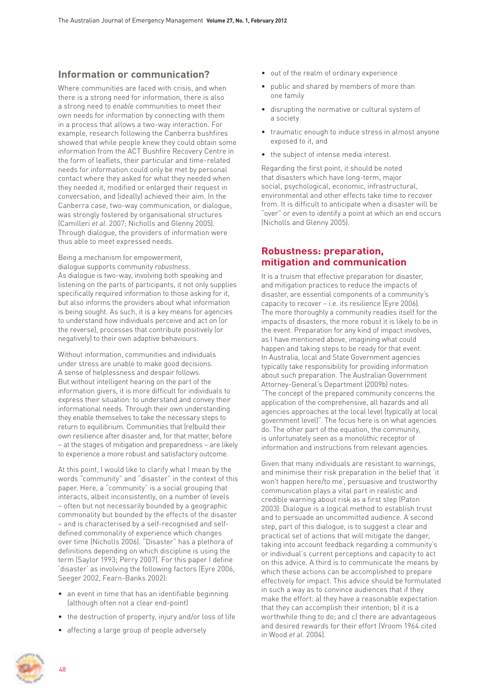### **Information or communication?**

Where communities are faced with crisis, and when there is a strong need for information, there is also a strong need to *enable* communities to meet their own needs for information by connecting with them in a process that allows a two-way interaction. For example, research following the Canberra bushfires showed that while people knew they could obtain some information from the ACT Bushfire Recovery Centre in the form of leaflets, their particular and time-related needs for information could only be met by personal contact where they asked for what they needed when they needed it, modified or enlarged their request in conversation, and (ideally) achieved their aim. In the Canberra case, two-way communication, or dialogue, was strongly fostered by organisational structures (Camilleri *et al.* 2007; Nicholls and Glenny 2005). Through dialogue, the providers of information were thus able to meet expressed needs.

Being a mechanism for empowerment, dialogue supports community *robustness*. As dialogue is two-way, involving both speaking and listening on the parts of participants, it not only supplies specifically required information to those asking for it, but also informs the providers about what information is being sought. As such, it is a key means for agencies to understand how individuals perceive and act on (or the reverse), processes that contribute positively (or negatively) to their own adaptive behaviours.

Without information, communities and individuals under stress are unable to make good decisions. A sense of helplessness and despair follows. But without intelligent hearing on the part of the information givers, it is more difficult for individuals to express their situation: to understand and convey their informational needs. Through their own understanding they enable themselves to take the necessary steps to return to equilibrium. Communities that (re)build their own resilience after disaster and, for that matter, before – at the stages of mitigation and preparedness – are likely to experience a more robust and satisfactory outcome.

At this point, I would like to clarify what I mean by the words "community" and "disaster" in the context of this paper. Here, a "community" is a social grouping that interacts, albeit inconsistently, on a number of levels – often but not necessarily bounded by a geographic commonality but bounded by the effects of the disaster – and is characterised by a self-recognised and selfdefined commonality of experience which changes over time (Nicholls 2006). "Disaster" has a plethora of definitions depending on which discipline is using the term (Saylor 1993; Perry 2007). For this paper I define 'disaster' as involving the following factors (Eyre 2006, Seeger 2002, Fearn-Banks 2002):

- an event in time that has an identifiable beginning (although often not a clear end-point)
- the destruction of property, injury and/or loss of life
- affecting a large group of people adversely
- out of the realm of ordinary experience
- public and shared by members of more than one family
- disrupting the normative or cultural system of a society
- traumatic enough to induce stress in almost anyone exposed to it, and
- the subject of intense media interest.

Regarding the first point, it should be noted that disasters which have long-term, major social, psychological, economic, infrastructural, environmental and other effects take time to recover from. It is difficult to anticipate when a disaster will be "over" or even to identify a point at which an end occurs (Nicholls and Glenny 2005).

## **Robustness: preparation, mitigation and communication**

It is a truism that effective preparation for disaster, and mitigation practices to reduce the impacts of disaster, are essential components of a community's capacity to recover – i.e. its resilience (Eyre 2006). The more thoroughly a community readies itself for the impacts of disasters, the more robust it is likely to be in the event. Preparation for any kind of impact involves, as I have mentioned above, imagining what could happen and taking steps to be ready for that event. In Australia, local and State Government agencies typically take responsibility for providing information about such preparation. The Australian Government Attorney-General's Department (2009b) notes: "The concept of the prepared community concerns the application of the comprehensive, all hazards and all agencies approaches at the local level (typically at local government level)". The focus here is on what agencies do. The other part of the equation, the community, is unfortunately seen as a monolithic receptor of information and instructions from relevant agencies.

Given that many individuals are resistant to warnings, and minimise their risk preparation in the belief that 'it won't happen here/to me', persuasive and trustworthy communication plays a vital part in realistic and credible warning about risk as a first step (Paton 2003). Dialogue is a logical method to establish trust and to persuade an uncommitted audience. A second step, part of this dialogue, is to suggest a clear and practical set of actions that will mitigate the danger, taking into account feedback regarding a community's or individual's current perceptions and capacity to act on this advice. A third is to communicate the means by which these actions can be accomplished to prepare effectively for impact. This advice should be formulated in such a way as to convince audiences that if they make the effort: a) they have a reasonable expectation that they can accomplish their intention; b) it is a worthwhile thing to do; and c) there are advantageous and desired rewards for their effort (Vroom 1964 cited in Wood *et al.* 2004).

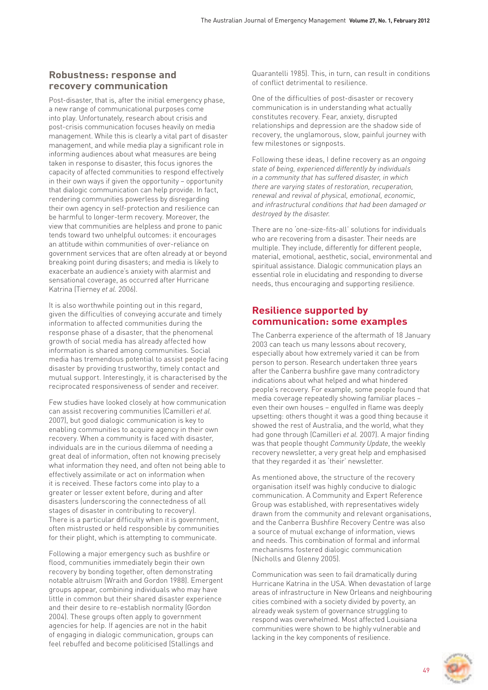### **Robustness: response and recovery communication**

Post-disaster, that is, after the initial emergency phase, a new range of communicational purposes come into play. Unfortunately, research about crisis and post-crisis communication focuses heavily on media management. While this is clearly a vital part of disaster management, and while media play a significant role in informing audiences about what measures are being taken in response to disaster, this focus ignores the capacity of affected communities to respond effectively in their own ways if given the opportunity – opportunity that dialogic communication can help provide. In fact, rendering communities powerless by disregarding their own agency in self-protection and resilience can be harmful to longer-term recovery. Moreover, the view that communities are helpless and prone to panic tends toward two unhelpful outcomes: it encourages an attitude within communities of over-reliance on government services that are often already at or beyond breaking point during disasters; and media is likely to exacerbate an audience's anxiety with alarmist and sensational coverage, as occurred after Hurricane Katrina (Tierney *et al.* 2006).

It is also worthwhile pointing out in this regard, given the difficulties of conveying accurate and timely information to affected communities during the response phase of a disaster, that the phenomenal growth of social media has already affected how information is shared among communities. Social media has tremendous potential to assist people facing disaster by providing trustworthy, timely contact and mutual support. Interestingly, it is characterised by the reciprocated responsiveness of sender and receiver.

Few studies have looked closely at how communication can assist recovering communities (Camilleri *et al.* 2007), but good dialogic communication is key to enabling communities to acquire agency in their own recovery. When a community is faced with disaster, individuals are in the curious dilemma of needing a great deal of information, often not knowing precisely what information they need, and often not being able to effectively assimilate or act on information when it is received. These factors come into play to a greater or lesser extent before, during and after disasters (underscoring the connectedness of all stages of disaster in contributing to recovery). There is a particular difficulty when it is government, often mistrusted or held responsible by communities for their plight, which is attempting to communicate.

Following a major emergency such as bushfire or flood, communities immediately begin their own recovery by bonding together, often demonstrating notable altruism (Wraith and Gordon 1988). Emergent groups appear, combining individuals who may have little in common but their shared disaster experience and their desire to re-establish normality (Gordon 2004). These groups often apply to government agencies for help. If agencies are not in the habit of engaging in dialogic communication, groups can feel rebuffed and become politicised (Stallings and

Quarantelli 1985). This, in turn, can result in conditions of conflict detrimental to resilience.

One of the difficulties of post-disaster or recovery communication is in understanding what actually constitutes recovery. Fear, anxiety, disrupted relationships and depression are the shadow side of recovery, the unglamorous, slow, painful journey with few milestones or signposts.

Following these ideas, I define recovery as *an ongoing state of being, experienced differently by individuals in a community that has suffered disaster, in which there are varying states of restoration, recuperation, renewal and revival of physical, emotional, economic, and infrastructural conditions that had been damaged or destroyed by the disaster.* 

There are no 'one-size-fits-all' solutions for individuals who are recovering from a disaster. Their needs are multiple. They include, differently for different people, material, emotional, aesthetic, social, environmental and spiritual assistance. Dialogic communication plays an essential role in elucidating and responding to diverse needs, thus encouraging and supporting resilience.

## **Resilience supported by communication: some examples**

The Canberra experience of the aftermath of 18 January 2003 can teach us many lessons about recovery, especially about how extremely varied it can be from person to person. Research undertaken three years after the Canberra bushfire gave many contradictory indications about what helped and what hindered people's recovery. For example, some people found that media coverage repeatedly showing familiar places – even their own houses – engulfed in flame was deeply upsetting: others thought it was a good thing because it showed the rest of Australia, and the world, what they had gone through (Camilleri *et al.* 2007). A major finding was that people thought *Community Update*, the weekly recovery newsletter, a very great help and emphasised that they regarded it as 'their' newsletter.

As mentioned above, the structure of the recovery organisation itself was highly conducive to dialogic communication. A Community and Expert Reference Group was established, with representatives widely drawn from the community and relevant organisations, and the Canberra Bushfire Recovery Centre was also a source of mutual exchange of information, views and needs. This combination of formal and informal mechanisms fostered dialogic communication (Nicholls and Glenny 2005).

Communication was seen to fail dramatically during Hurricane Katrina in the USA. When devastation of large areas of infrastructure in New Orleans and neighbouring cities combined with a society divided by poverty, an already weak system of governance struggling to respond was overwhelmed. Most affected Louisiana communities were shown to be highly vulnerable and lacking in the key components of resilience.

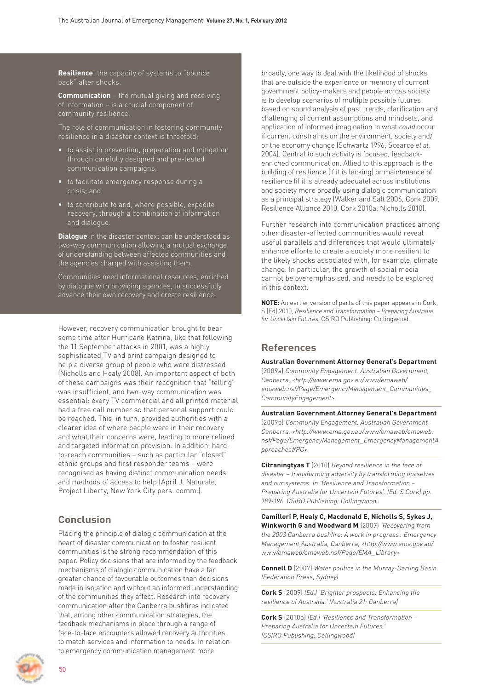**Resilience**: the capacity of systems to "bounce back" after shocks.

**Communication** – the mutual giving and receiving of information – is a crucial component of community resilience.

resilience in a disaster context is threefold:

- to assist in prevention, preparation and mitigation through carefully designed and pre-tested communication campaigns;
- to facilitate emergency response during a crisis; and
- to contribute to and, where possible, expedite recovery, through a combination of information and dialogue.

**Dialogue** in the disaster context can be understood as two-way communication allowing a mutual exchange of understanding between affected communities and the agencies charged with assisting them.

Communities need informational resources, enriched by dialogue with providing agencies, to successfully

However, recovery communication brought to bear some time after Hurricane Katrina, like that following the 11 September attacks in 2001, was a highly sophisticated TV and print campaign designed to help a diverse group of people who were distressed (Nicholls and Healy 2008). An important aspect of both of these campaigns was their recognition that "telling" was insufficient, and two-way communication was essential: every TV commercial and all printed material had a free call number so that personal support could be reached. This, in turn, provided authorities with a clearer idea of where people were in their recovery and what their concerns were, leading to more refined and targeted information provision. In addition, hardto-reach communities – such as particular "closed" ethnic groups and first responder teams – were recognised as having distinct communication needs and methods of access to help (April J. Naturale, Project Liberty, New York City pers. comm.).

## **Conclusion**

Placing the principle of dialogic communication at the heart of disaster communication to foster resilient communities is the strong recommendation of this paper. Policy decisions that are informed by the feedback mechanisms of dialogic communication have a far greater chance of favourable outcomes than decisions made in isolation and without an informed understanding of the communities they affect. Research into recovery communication after the Canberra bushfires indicated that, among other communication strategies, the feedback mechanisms in place through a range of face-to-face encounters allowed recovery authorities to match services and information to needs. In relation to emergency communication management more



 $50$ 

broadly, one way to deal with the likelihood of shocks that are outside the experience or memory of current government policy-makers and people across society is to develop scenarios of multiple possible futures based on sound analysis of past trends, clarification and challenging of current assumptions and mindsets, and application of informed imagination to what *could* occur if current constraints on the environment, society and/ or the economy change (Schwartz 1996; Scearce *et al.*  2004). Central to such activity is focused, feedbackenriched communication. Allied to this approach is the building of resilience (if it is lacking) or maintenance of resilience (if it is already adequate) across institutions and society more broadly using dialogic communication as a principal strategy (Walker and Salt 2006; Cork 2009; Resilience Alliance 2010, Cork 2010a; Nicholls 2010).

Further research into communication practices among other disaster-affected communities would reveal useful parallels and differences that would ultimately enhance efforts to create a society more resilient to the likely shocks associated with, for example, climate change. In particular, the growth of social media cannot be overemphasised, and needs to be explored in this context.

**NOTE:** An earlier version of parts of this paper appears in Cork, S (Ed) 2010, *Resilience and Transformation – Preparing Australia for Uncertain Futures*. CSIRO Publishing: Collingwood.

#### **References**

**Australian Government Attorney General's Department**

(2009a) *Community Engagement. Australian Government, Canberra, <http://www.ema.gov.au/www/emaweb/ emaweb.nsf/Page/EmergencyManagement\_Communities\_ CommunityEngagement>.*

**Australian Government Attorney General's Department**  (2009b) *Community Engagement. Australian Government, Canberra, <http://www.ema.gov.au/www/emaweb/emaweb. nsf/Page/EmergencyManagement\_EmergencyManagementA pproaches#PC>*

**Citraningtyas T** (2010) *Beyond resilience in the face of disaster – transforming adversity by transforming ourselves and our systems. In 'Resilience and Transformation – Preparing Australia for Uncertain Futures'. (Ed. S Cork) pp. 189-196. CSIRO Publishing: Collingwood.*

**Camilleri P, Healy C, Macdonald E, Nicholls S, Sykes J, Winkworth G and Woodward M** (2007) *'Recovering from the 2003 Canberra bushfire: A work in progress'. Emergency Management Australia, Canberra, <http://www.ema.gov.au/ www/emaweb/emaweb.nsf/Page/EMA\_Library>*

**Connell D** (2007) *Water politics in the Murray-Darling Basin. (Federation Press, Sydney)*

**Cork S** (2009) *(Ed.) 'Brighter prospects: Enhancing the resilience of Australia.' (Australia 21: Canberra)* 

**Cork S** (2010a) *(Ed.) 'Resilience and Transformation – Preparing Australia for Uncertain Futures.' (CSIRO Publishing: Collingwood)*